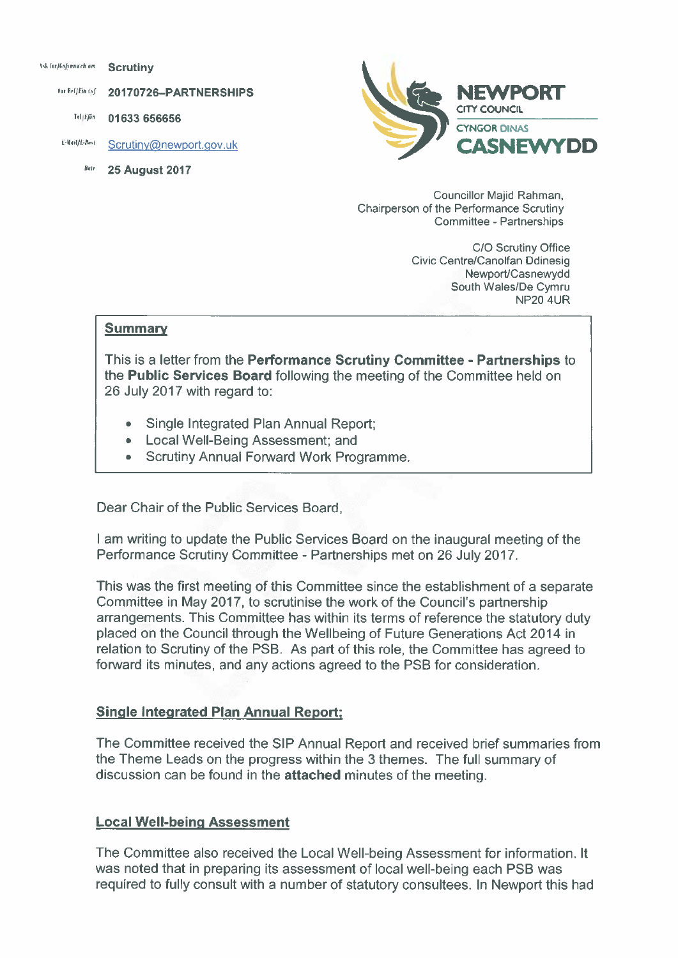Ask for Hofsmarch am **Scrutiny** 

> **Dur Ref/Ein Lyf** 20170726-PARTNERSHIPS

Tel | Ffån 01633 656656

E-Mail/E-Bost Scrutiny@newport.gov.uk

> **25 August 2017 Date**



Councillor Majid Rahman, Chairperson of the Performance Scrutiny Committee - Partnerships

> C/O Scrutiny Office Civic Centre/Canolfan Ddinesig Newport/Casnewydd South Wales/De Cymru **NP20 4UR**

#### **Summary**

This is a letter from the Performance Scrutiny Committee - Partnerships to the Public Services Board following the meeting of the Committee held on 26 July 2017 with regard to:

- **Single Integrated Plan Annual Report;**
- Local Well-Being Assessment: and
- **Scrutiny Annual Forward Work Programme.**

Dear Chair of the Public Services Board,

I am writing to update the Public Services Board on the inaugural meeting of the Performance Scrutiny Committee - Partnerships met on 26 July 2017.

This was the first meeting of this Committee since the establishment of a separate Committee in May 2017, to scrutinise the work of the Council's partnership arrangements. This Committee has within its terms of reference the statutory duty placed on the Council through the Wellbeing of Future Generations Act 2014 in relation to Scrutiny of the PSB. As part of this role, the Committee has agreed to forward its minutes, and any actions agreed to the PSB for consideration.

#### **Single Integrated Plan Annual Report;**

The Committee received the SIP Annual Report and received brief summaries from the Theme Leads on the progress within the 3 themes. The full summary of discussion can be found in the attached minutes of the meeting.

#### **Local Well-being Assessment**

The Committee also received the Local Well-being Assessment for information. It was noted that in preparing its assessment of local well-being each PSB was required to fully consult with a number of statutory consultees. In Newport this had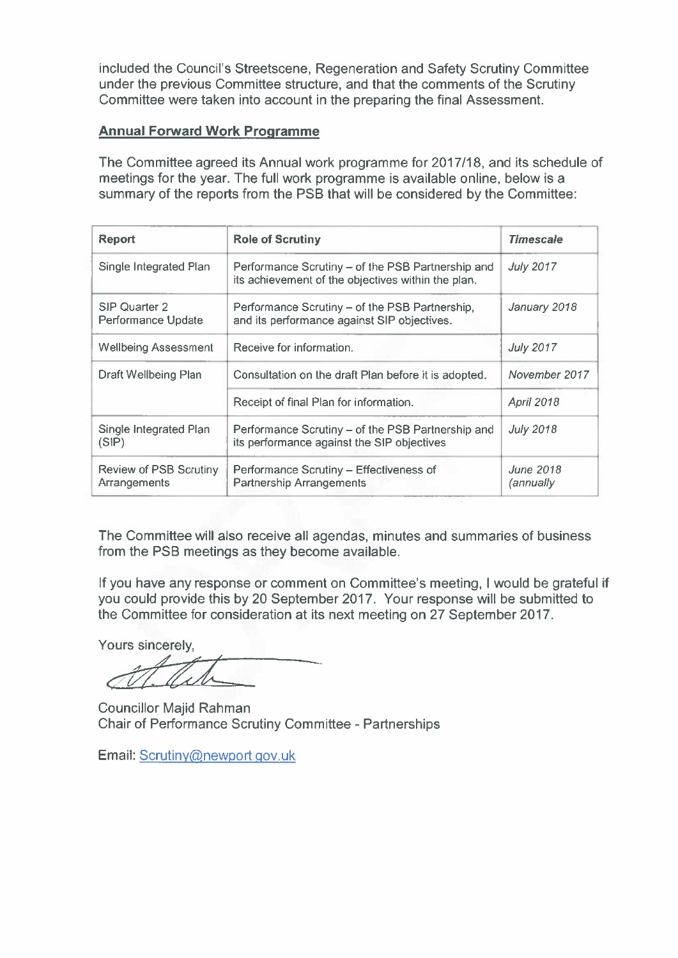included the Council's Streetscene, Regeneration and Safety Scrutiny Committee under the previous Committee structure, and that the comments of the Scrutiny Committee were taken into account in the preparing the final Assessment.

# **Annual Forward Work Programme**

The Committee agreed its Annual work programme for 2017/18, and its schedule of meetings for the year. The full work programme is available online, below is a summary of the reports from the PSB that will be considered by the Committee:

| <b>Report</b>                          | <b>Role of Scrutiny</b>                                                                                 | <b>Timescale</b>              |
|----------------------------------------|---------------------------------------------------------------------------------------------------------|-------------------------------|
| Single Integrated Plan                 | Performance Scrutiny - of the PSB Partnership and<br>its achievement of the objectives within the plan. | <b>July 2017</b>              |
| SIP Quarter 2<br>Performance Update    | Performance Scrutiny - of the PSB Partnership,<br>and its performance against SIP objectives.           | January 2018                  |
| <b>Wellbeing Assessment</b>            | Receive for information.                                                                                | <b>July 2017</b>              |
| Draft Wellbeing Plan                   | Consultation on the draft Plan before it is adopted.                                                    | November 2017                 |
|                                        | Receipt of final Plan for information.                                                                  | <b>April 2018</b>             |
| Single Integrated Plan<br>(SIP)        | Performance Scrutiny - of the PSB Partnership and<br>its performance against the SIP objectives         | <b>July 2018</b>              |
| Review of PSB Scrutiny<br>Arrangements | Performance Scrutiny - Effectiveness of<br>Partnership Arrangements                                     | <b>June 2018</b><br>(annually |

The Committee will also receive all agendas, minutes and summaries of business from the PSB meetings as they become available.

If you have any response or comment on Committee's meeting, I would be grateful if you could provide this by 20 September 2017. Your response will be submitted to the Committee for consideration at its next meeting on 27 September 2017.

Yours sincerely.

**Councillor Majid Rahman** Chair of Performance Scrutiny Committee - Partnerships

Email: Scrutiny@newport.gov.uk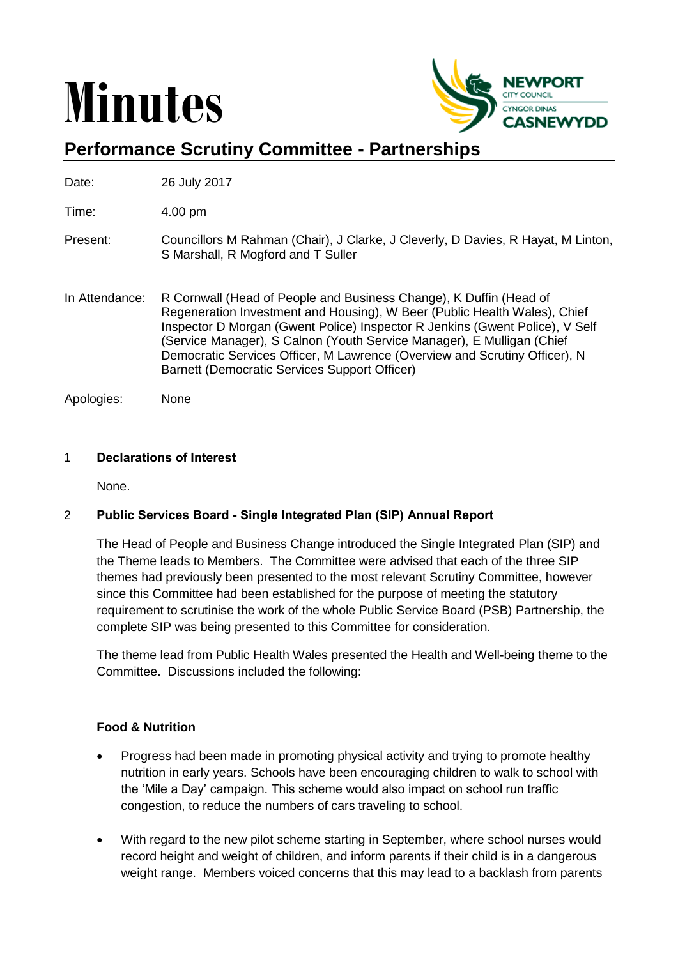# **Minutes**



# **Performance Scrutiny Committee - Partnerships**

Date: 26 July 2017

Time: 4.00 pm

- Present: Councillors M Rahman (Chair), J Clarke, J Cleverly, D Davies, R Hayat, M Linton, S Marshall, R Mogford and T Suller
- In Attendance: R Cornwall (Head of People and Business Change), K Duffin (Head of Regeneration Investment and Housing), W Beer (Public Health Wales), Chief Inspector D Morgan (Gwent Police) Inspector R Jenkins (Gwent Police), V Self (Service Manager), S Calnon (Youth Service Manager), E Mulligan (Chief Democratic Services Officer, M Lawrence (Overview and Scrutiny Officer), N Barnett (Democratic Services Support Officer)

Apologies: None

#### 1 **Declarations of Interest**

None.

## 2 **Public Services Board - Single Integrated Plan (SIP) Annual Report**

The Head of People and Business Change introduced the Single Integrated Plan (SIP) and the Theme leads to Members. The Committee were advised that each of the three SIP themes had previously been presented to the most relevant Scrutiny Committee, however since this Committee had been established for the purpose of meeting the statutory requirement to scrutinise the work of the whole Public Service Board (PSB) Partnership, the complete SIP was being presented to this Committee for consideration.

The theme lead from Public Health Wales presented the Health and Well-being theme to the Committee. Discussions included the following:

## **Food & Nutrition**

- Progress had been made in promoting physical activity and trying to promote healthy nutrition in early years. Schools have been encouraging children to walk to school with the 'Mile a Day' campaign. This scheme would also impact on school run traffic congestion, to reduce the numbers of cars traveling to school.
- With regard to the new pilot scheme starting in September, where school nurses would record height and weight of children, and inform parents if their child is in a dangerous weight range. Members voiced concerns that this may lead to a backlash from parents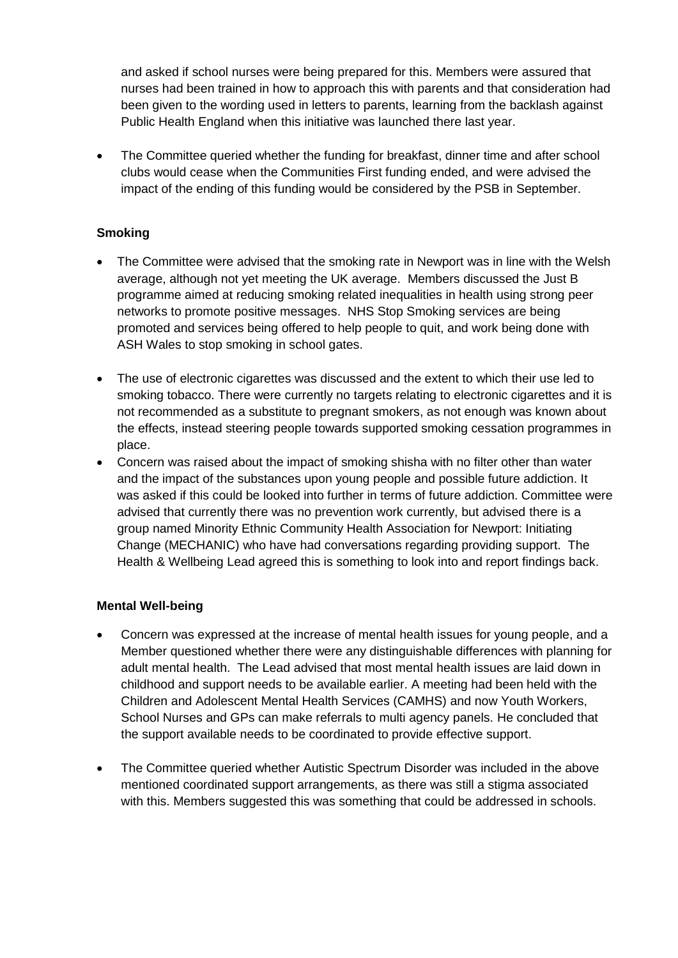and asked if school nurses were being prepared for this. Members were assured that nurses had been trained in how to approach this with parents and that consideration had been given to the wording used in letters to parents, learning from the backlash against Public Health England when this initiative was launched there last year.

 The Committee queried whether the funding for breakfast, dinner time and after school clubs would cease when the Communities First funding ended, and were advised the impact of the ending of this funding would be considered by the PSB in September.

# **Smoking**

- The Committee were advised that the smoking rate in Newport was in line with the Welsh average, although not yet meeting the UK average. Members discussed the Just B programme aimed at reducing smoking related inequalities in health using strong peer networks to promote positive messages. NHS Stop Smoking services are being promoted and services being offered to help people to quit, and work being done with ASH Wales to stop smoking in school gates.
- The use of electronic cigarettes was discussed and the extent to which their use led to smoking tobacco. There were currently no targets relating to electronic cigarettes and it is not recommended as a substitute to pregnant smokers, as not enough was known about the effects, instead steering people towards supported smoking cessation programmes in place.
- Concern was raised about the impact of smoking shisha with no filter other than water and the impact of the substances upon young people and possible future addiction. It was asked if this could be looked into further in terms of future addiction. Committee were advised that currently there was no prevention work currently, but advised there is a group named Minority Ethnic Community Health Association for Newport: Initiating Change (MECHANIC) who have had conversations regarding providing support. The Health & Wellbeing Lead agreed this is something to look into and report findings back.

## **Mental Well-being**

- Concern was expressed at the increase of mental health issues for young people, and a Member questioned whether there were any distinguishable differences with planning for adult mental health. The Lead advised that most mental health issues are laid down in childhood and support needs to be available earlier. A meeting had been held with the Children and Adolescent Mental Health Services (CAMHS) and now Youth Workers, School Nurses and GPs can make referrals to multi agency panels. He concluded that the support available needs to be coordinated to provide effective support.
- The Committee queried whether Autistic Spectrum Disorder was included in the above mentioned coordinated support arrangements, as there was still a stigma associated with this. Members suggested this was something that could be addressed in schools.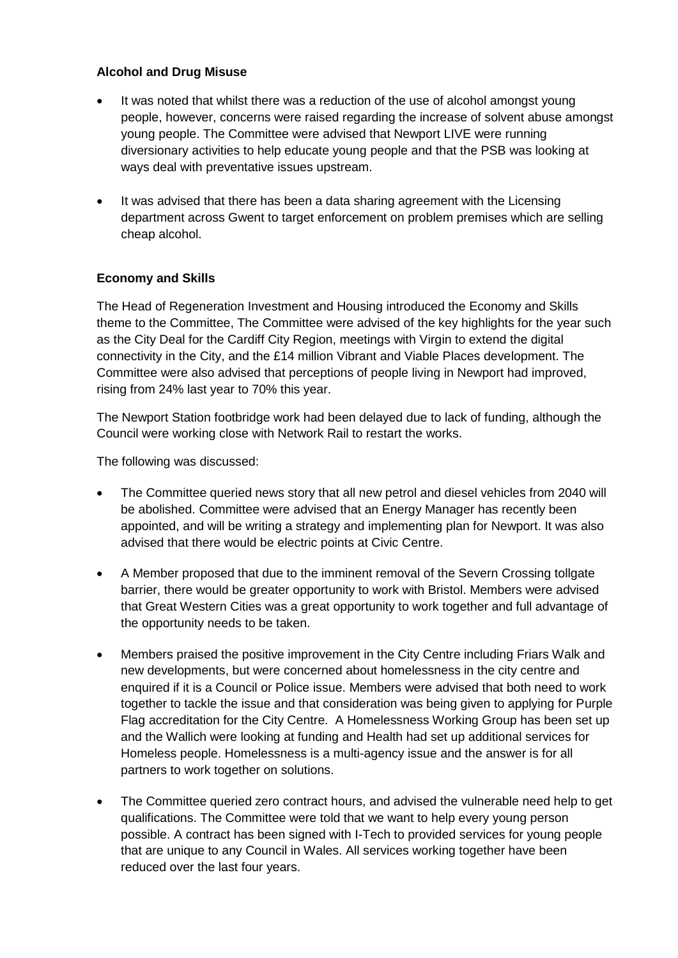#### **Alcohol and Drug Misuse**

- It was noted that whilst there was a reduction of the use of alcohol amongst young people, however, concerns were raised regarding the increase of solvent abuse amongst young people. The Committee were advised that Newport LIVE were running diversionary activities to help educate young people and that the PSB was looking at ways deal with preventative issues upstream.
- It was advised that there has been a data sharing agreement with the Licensing department across Gwent to target enforcement on problem premises which are selling cheap alcohol.

## **Economy and Skills**

The Head of Regeneration Investment and Housing introduced the Economy and Skills theme to the Committee, The Committee were advised of the key highlights for the year such as the City Deal for the Cardiff City Region, meetings with Virgin to extend the digital connectivity in the City, and the £14 million Vibrant and Viable Places development. The Committee were also advised that perceptions of people living in Newport had improved, rising from 24% last year to 70% this year.

The Newport Station footbridge work had been delayed due to lack of funding, although the Council were working close with Network Rail to restart the works.

The following was discussed:

- The Committee queried news story that all new petrol and diesel vehicles from 2040 will be abolished. Committee were advised that an Energy Manager has recently been appointed, and will be writing a strategy and implementing plan for Newport. It was also advised that there would be electric points at Civic Centre.
- A Member proposed that due to the imminent removal of the Severn Crossing tollgate barrier, there would be greater opportunity to work with Bristol. Members were advised that Great Western Cities was a great opportunity to work together and full advantage of the opportunity needs to be taken.
- Members praised the positive improvement in the City Centre including Friars Walk and new developments, but were concerned about homelessness in the city centre and enquired if it is a Council or Police issue. Members were advised that both need to work together to tackle the issue and that consideration was being given to applying for Purple Flag accreditation for the City Centre. A Homelessness Working Group has been set up and the Wallich were looking at funding and Health had set up additional services for Homeless people. Homelessness is a multi-agency issue and the answer is for all partners to work together on solutions.
- The Committee queried zero contract hours, and advised the vulnerable need help to get qualifications. The Committee were told that we want to help every young person possible. A contract has been signed with I-Tech to provided services for young people that are unique to any Council in Wales. All services working together have been reduced over the last four years.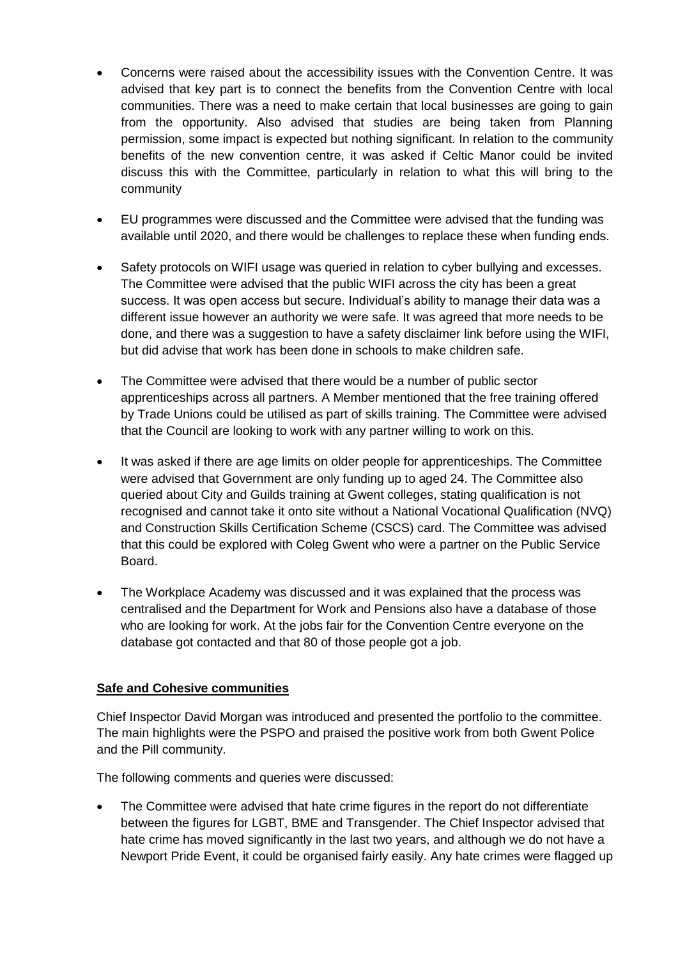- Concerns were raised about the accessibility issues with the Convention Centre. It was advised that key part is to connect the benefits from the Convention Centre with local communities. There was a need to make certain that local businesses are going to gain from the opportunity. Also advised that studies are being taken from Planning permission, some impact is expected but nothing significant. In relation to the community benefits of the new convention centre, it was asked if Celtic Manor could be invited discuss this with the Committee, particularly in relation to what this will bring to the community
- EU programmes were discussed and the Committee were advised that the funding was available until 2020, and there would be challenges to replace these when funding ends.
- Safety protocols on WIFI usage was queried in relation to cyber bullying and excesses. The Committee were advised that the public WIFI across the city has been a great success. It was open access but secure. Individual's ability to manage their data was a different issue however an authority we were safe. It was agreed that more needs to be done, and there was a suggestion to have a safety disclaimer link before using the WIFI, but did advise that work has been done in schools to make children safe.
- The Committee were advised that there would be a number of public sector apprenticeships across all partners. A Member mentioned that the free training offered by Trade Unions could be utilised as part of skills training. The Committee were advised that the Council are looking to work with any partner willing to work on this.
- It was asked if there are age limits on older people for apprenticeships. The Committee were advised that Government are only funding up to aged 24. The Committee also queried about City and Guilds training at Gwent colleges, stating qualification is not recognised and cannot take it onto site without a National Vocational Qualification (NVQ) and Construction Skills Certification Scheme (CSCS) card. The Committee was advised that this could be explored with Coleg Gwent who were a partner on the Public Service Board.
- The Workplace Academy was discussed and it was explained that the process was centralised and the Department for Work and Pensions also have a database of those who are looking for work. At the jobs fair for the Convention Centre everyone on the database got contacted and that 80 of those people got a job.

## **Safe and Cohesive communities**

Chief Inspector David Morgan was introduced and presented the portfolio to the committee. The main highlights were the PSPO and praised the positive work from both Gwent Police and the Pill community.

The following comments and queries were discussed:

 The Committee were advised that hate crime figures in the report do not differentiate between the figures for LGBT, BME and Transgender. The Chief Inspector advised that hate crime has moved significantly in the last two years, and although we do not have a Newport Pride Event, it could be organised fairly easily. Any hate crimes were flagged up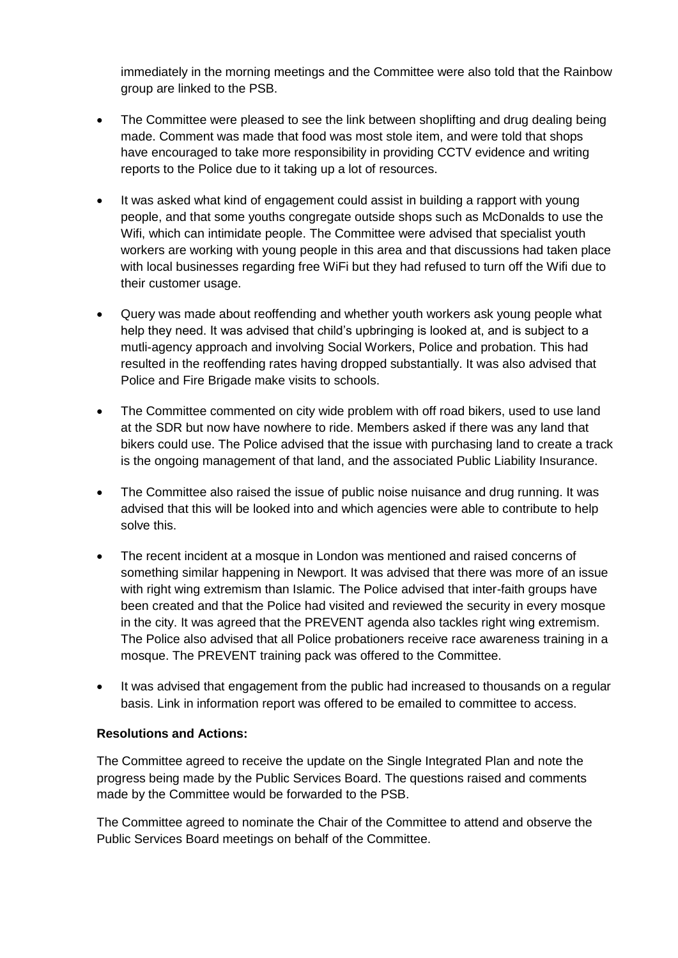immediately in the morning meetings and the Committee were also told that the Rainbow group are linked to the PSB.

- The Committee were pleased to see the link between shoplifting and drug dealing being made. Comment was made that food was most stole item, and were told that shops have encouraged to take more responsibility in providing CCTV evidence and writing reports to the Police due to it taking up a lot of resources.
- It was asked what kind of engagement could assist in building a rapport with young people, and that some youths congregate outside shops such as McDonalds to use the Wifi, which can intimidate people. The Committee were advised that specialist youth workers are working with young people in this area and that discussions had taken place with local businesses regarding free WiFi but they had refused to turn off the Wifi due to their customer usage.
- Query was made about reoffending and whether youth workers ask young people what help they need. It was advised that child's upbringing is looked at, and is subject to a mutli-agency approach and involving Social Workers, Police and probation. This had resulted in the reoffending rates having dropped substantially. It was also advised that Police and Fire Brigade make visits to schools.
- The Committee commented on city wide problem with off road bikers, used to use land at the SDR but now have nowhere to ride. Members asked if there was any land that bikers could use. The Police advised that the issue with purchasing land to create a track is the ongoing management of that land, and the associated Public Liability Insurance.
- The Committee also raised the issue of public noise nuisance and drug running. It was advised that this will be looked into and which agencies were able to contribute to help solve this.
- The recent incident at a mosque in London was mentioned and raised concerns of something similar happening in Newport. It was advised that there was more of an issue with right wing extremism than Islamic. The Police advised that inter-faith groups have been created and that the Police had visited and reviewed the security in every mosque in the city. It was agreed that the PREVENT agenda also tackles right wing extremism. The Police also advised that all Police probationers receive race awareness training in a mosque. The PREVENT training pack was offered to the Committee.
- It was advised that engagement from the public had increased to thousands on a regular basis. Link in information report was offered to be emailed to committee to access.

## **Resolutions and Actions:**

The Committee agreed to receive the update on the Single Integrated Plan and note the progress being made by the Public Services Board. The questions raised and comments made by the Committee would be forwarded to the PSB.

The Committee agreed to nominate the Chair of the Committee to attend and observe the Public Services Board meetings on behalf of the Committee.